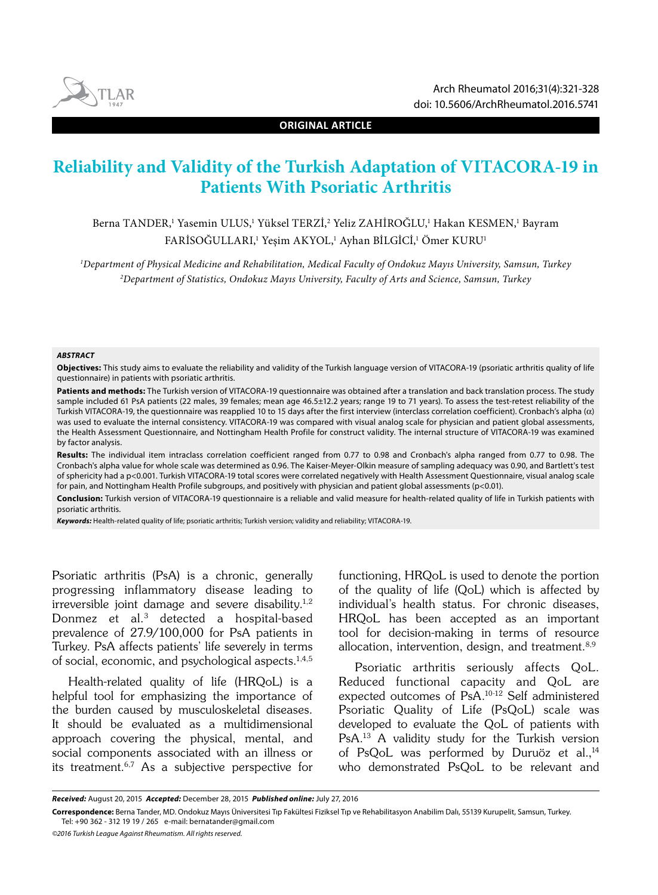

**ORIGINAL ARTICLE**

# **Reliability and Validity of the Turkish Adaptation of VITACORA-19 in Patients With Psoriatic Arthritis**

Berna TANDER,' Yasemin ULUS,' Yüksel TERZİ,<sup>2</sup> Yeliz ZAHİROĞLU,' Hakan KESMEN,' Bayram FARİSOĞULLARI,<sup>1</sup> Yeşim AKYOL,<sup>1</sup> Ayhan BİLGİCİ,<sup>1</sup> Ömer KURU<sup>1</sup>

1 Department of Physical Medicine and Rehabilitation, Medical Faculty of Ondokuz Mayıs University, Samsun, Turkey 2 Department of Statistics, Ondokuz Mayıs University, Faculty of Arts and Science, Samsun, Turkey

#### **ABSTRACT**

**Objectives:** This study aims to evaluate the reliability and validity of the Turkish language version of VITACORA-19 (psoriatic arthritis quality of life questionnaire) in patients with psoriatic arthritis.

Patients and methods: The Turkish version of VITACORA-19 questionnaire was obtained after a translation and back translation process. The study sample included 61 PsA patients (22 males, 39 females; mean age 46.5±12.2 years; range 19 to 71 years). To assess the test-retest reliability of the Turkish VITACORA-19, the questionnaire was reapplied 10 to 15 days after the first interview (interclass correlation coefficient). Cronbach's alpha  $(\alpha)$ was used to evaluate the internal consistency. VITACORA-19 was compared with visual analog scale for physician and patient global assessments, the Health Assessment Questionnaire, and Nottingham Health Profile for construct validity. The internal structure of VITACORA-19 was examined by factor analysis.

**Results:** The individual item intraclass correlation coefficient ranged from 0.77 to 0.98 and Cronbach's alpha ranged from 0.77 to 0.98. The Cronbach's alpha value for whole scale was determined as 0.96. The Kaiser-Meyer-Olkin measure of sampling adequacy was 0.90, and Bartlett's test of sphericity had a p<0.001. Turkish VITACORA-19 total scores were correlated negatively with Health Assessment Questionnaire, visual analog scale for pain, and Nottingham Health Profile subgroups, and positively with physician and patient global assessments (p<0.01).

**Conclusion:** Turkish version of VITACORA-19 questionnaire is a reliable and valid measure for health-related quality of life in Turkish patients with psoriatic arthritis.

**Keywords:** Health-related quality of life; psoriatic arthritis; Turkish version; validity and reliability; VITACORA-19.

Psoriatic arthritis (PsA) is a chronic, generally progressing inflammatory disease leading to irreversible joint damage and severe disability.<sup>1,2</sup> Donmez et al.3 detected a hospital-based prevalence of 27.9/100,000 for PsA patients in Turkey. PsA affects patients' life severely in terms of social, economic, and psychological aspects.<sup>1,4,5</sup>

Health-related quality of life (HRQoL) is a helpful tool for emphasizing the importance of the burden caused by musculoskeletal diseases. It should be evaluated as a multidimensional approach covering the physical, mental, and social components associated with an illness or its treatment.6,7 As a subjective perspective for functioning, HRQoL is used to denote the portion of the quality of life (QoL) which is affected by individual's health status. For chronic diseases, HRQoL has been accepted as an important tool for decision-making in terms of resource allocation, intervention, design, and treatment.<sup>8,9</sup>

Psoriatic arthritis seriously affects QoL. Reduced functional capacity and QoL are expected outcomes of PsA.10-12 Self administered Psoriatic Quality of Life (PsQoL) scale was developed to evaluate the QoL of patients with PsA.13 A validity study for the Turkish version of PsQoL was performed by Duruöz et al.,<sup>14</sup> who demonstrated PsQoL to be relevant and

**Received:** August 20, 2015 **Accepted:** December 28, 2015 **Published online:** July 27, 2016

**Correspondence:** Berna Tander, MD. Ondokuz Mayıs Üniversitesi Tıp Fakültesi Fiziksel Tıp ve Rehabilitasyon Anabilim Dalı, 55139 Kurupelit, Samsun, Turkey. Tel: +90 362 - 312 19 19 / 265 e-mail: bernatander@gmail.com

<sup>©2016</sup> Turkish League Against Rheumatism. All rights reserved.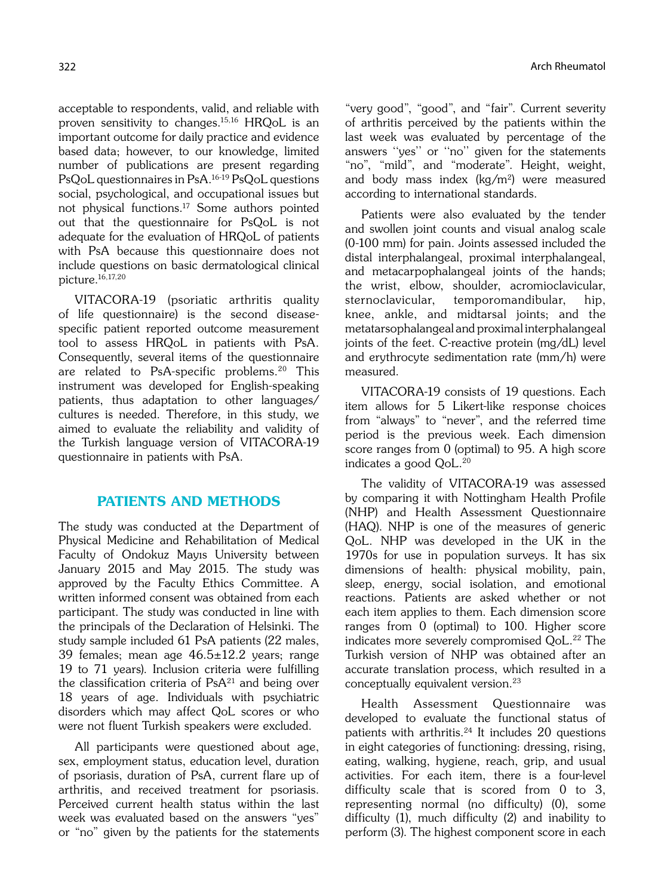acceptable to respondents, valid, and reliable with proven sensitivity to changes.15,16 HRQoL is an important outcome for daily practice and evidence based data; however, to our knowledge, limited number of publications are present regarding PsQoL questionnaires in PsA.16-19 PsQoL questions social, psychological, and occupational issues but not physical functions.17 Some authors pointed out that the questionnaire for PsQoL is not adequate for the evaluation of HRQoL of patients with PsA because this questionnaire does not include questions on basic dermatological clinical picture.16,17,20

VITACORA-19 (psoriatic arthritis quality of life questionnaire) is the second diseasespecific patient reported outcome measurement tool to assess HRQoL in patients with PsA. Consequently, several items of the questionnaire are related to PsA-specific problems.<sup>20</sup> This instrument was developed for English-speaking patients, thus adaptation to other languages/ cultures is needed. Therefore, in this study, we aimed to evaluate the reliability and validity of the Turkish language version of VITACORA-19 questionnaire in patients with PsA.

## PATIENTS AND METHODS

The study was conducted at the Department of Physical Medicine and Rehabilitation of Medical Faculty of Ondokuz Mayıs University between January 2015 and May 2015. The study was approved by the Faculty Ethics Committee. A written informed consent was obtained from each participant. The study was conducted in line with the principals of the Declaration of Helsinki. The study sample included 61 PsA patients (22 males, 39 females; mean age 46.5±12.2 years; range 19 to 71 years). Inclusion criteria were fulfilling the classification criteria of  $PsA<sup>21</sup>$  and being over 18 years of age. Individuals with psychiatric disorders which may affect QoL scores or who were not fluent Turkish speakers were excluded.

All participants were questioned about age, sex, employment status, education level, duration of psoriasis, duration of PsA, current flare up of arthritis, and received treatment for psoriasis. Perceived current health status within the last week was evaluated based on the answers "yes" or "no" given by the patients for the statements "very good", "good", and "fair". Current severity of arthritis perceived by the patients within the last week was evaluated by percentage of the answers ''yes'' or ''no'' given for the statements "no", "mild", and "moderate". Height, weight, and body mass index  $(kq/m^2)$  were measured according to international standards.

Patients were also evaluated by the tender and swollen joint counts and visual analog scale (0-100 mm) for pain. Joints assessed included the distal interphalangeal, proximal interphalangeal, and metacarpophalangeal joints of the hands; the wrist, elbow, shoulder, acromioclavicular, sternoclavicular, temporomandibular, hip, knee, ankle, and midtarsal joints; and the metatarsophalangeal and proximal interphalangeal joints of the feet. C-reactive protein (mg/dL) level and erythrocyte sedimentation rate (mm/h) were measured.

VITACORA-19 consists of 19 questions. Each item allows for 5 Likert-like response choices from "always" to "never", and the referred time period is the previous week. Each dimension score ranges from 0 (optimal) to 95. A high score indicates a good QoL.20

The validity of VITACORA-19 was assessed by comparing it with Nottingham Health Profile (NHP) and Health Assessment Questionnaire (HAQ). NHP is one of the measures of generic QoL. NHP was developed in the UK in the 1970s for use in population surveys. It has six dimensions of health: physical mobility, pain, sleep, energy, social isolation, and emotional reactions. Patients are asked whether or not each item applies to them. Each dimension score ranges from 0 (optimal) to 100. Higher score indicates more severely compromised QoL.<sup>22</sup> The Turkish version of NHP was obtained after an accurate translation process, which resulted in a conceptually equivalent version.23

Health Assessment Questionnaire was developed to evaluate the functional status of patients with arthritis.<sup>24</sup> It includes 20 questions in eight categories of functioning: dressing, rising, eating, walking, hygiene, reach, grip, and usual activities. For each item, there is a four-level difficulty scale that is scored from 0 to 3, representing normal (no difficulty) (0), some difficulty (1), much difficulty (2) and inability to perform (3). The highest component score in each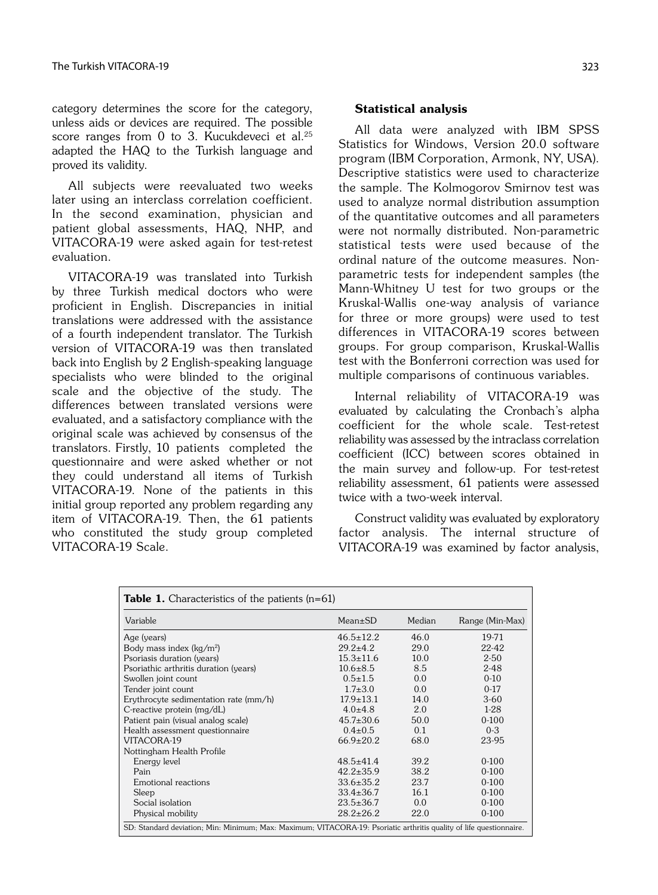category determines the score for the category, unless aids or devices are required. The possible score ranges from 0 to 3. Kucukdeveci et al.<sup>25</sup> adapted the HAQ to the Turkish language and proved its validity.

All subjects were reevaluated two weeks later using an interclass correlation coefficient. In the second examination, physician and patient global assessments, HAQ, NHP, and VITACORA-19 were asked again for test-retest evaluation.

VITACORA-19 was translated into Turkish by three Turkish medical doctors who were proficient in English. Discrepancies in initial translations were addressed with the assistance of a fourth independent translator. The Turkish version of VITACORA-19 was then translated back into English by 2 English-speaking language specialists who were blinded to the original scale and the objective of the study. The differences between translated versions were evaluated, and a satisfactory compliance with the original scale was achieved by consensus of the translators. Firstly, 10 patients completed the questionnaire and were asked whether or not they could understand all items of Turkish VITACORA-19. None of the patients in this initial group reported any problem regarding any item of VITACORA-19. Then, the 61 patients who constituted the study group completed VITACORA-19 Scale.

## Statistical analysis

All data were analyzed with IBM SPSS Statistics for Windows, Version 20.0 software program (IBM Corporation, Armonk, NY, USA). Descriptive statistics were used to characterize the sample. The Kolmogorov Smirnov test was used to analyze normal distribution assumption of the quantitative outcomes and all parameters were not normally distributed. Non-parametric statistical tests were used because of the ordinal nature of the outcome measures. Nonparametric tests for independent samples (the Mann-Whitney U test for two groups or the Kruskal-Wallis one-way analysis of variance for three or more groups) were used to test differences in VITACORA-19 scores between groups. For group comparison, Kruskal-Wallis test with the Bonferroni correction was used for multiple comparisons of continuous variables.

Internal reliability of VITACORA-19 was evaluated by calculating the Cronbach's alpha coefficient for the whole scale. Test-retest reliability was assessed by the intraclass correlation coefficient (ICC) between scores obtained in the main survey and follow-up. For test-retest reliability assessment, 61 patients were assessed twice with a two-week interval.

Construct validity was evaluated by exploratory factor analysis. The internal structure of VITACORA-19 was examined by factor analysis,

| <b>Table 1.</b> Characteristics of the patients $(n=61)$                                                            |                 |        |                 |  |  |  |
|---------------------------------------------------------------------------------------------------------------------|-----------------|--------|-----------------|--|--|--|
| Variable                                                                                                            | $Mean \pm SD$   | Median | Range (Min-Max) |  |  |  |
| Age (years)                                                                                                         | $46.5 \pm 12.2$ | 46.0   | 19-71           |  |  |  |
| Body mass index (kg/m <sup>2</sup> )                                                                                | $29.2 + 4.2$    | 29.0   | 22-42           |  |  |  |
| Psoriasis duration (years)                                                                                          | $15.3 \pm 11.6$ | 10.0   | $2 - 50$        |  |  |  |
| Psoriathic arthritis duration (years)                                                                               | $10.6 \pm 8.5$  | 8.5    | $2 - 48$        |  |  |  |
| Swollen joint count                                                                                                 | $0.5 \pm 1.5$   | 0.0    | $0-10$          |  |  |  |
| Tender joint count                                                                                                  | $1.7 \pm 3.0$   | 0.0    | $0-17$          |  |  |  |
| Erythrocyte sedimentation rate (mm/h)                                                                               | $17.9 \pm 13.1$ | 14.0   | $3-60$          |  |  |  |
| C-reactive protein (mg/dL)                                                                                          | $4.0 \pm 4.8$   | 2.0    | $1-28$          |  |  |  |
| Patient pain (visual analog scale)                                                                                  | $45.7 \pm 30.6$ | 50.0   | $0-100$         |  |  |  |
| Health assessment questionnaire                                                                                     | $0.4 \pm 0.5$   | 0.1    | $0 - 3$         |  |  |  |
| VITACORA-19                                                                                                         | $66.9 \pm 20.2$ | 68.0   | 23-95           |  |  |  |
| Nottingham Health Profile                                                                                           |                 |        |                 |  |  |  |
| Energy level                                                                                                        | $48.5 \pm 41.4$ | 39.2   | $0-100$         |  |  |  |
| Pain                                                                                                                | $42.2 \pm 35.9$ | 38.2   | $0-100$         |  |  |  |
| Emotional reactions                                                                                                 | $33.6 \pm 35.2$ | 23.7   | $0-100$         |  |  |  |
| Sleep                                                                                                               | $33.4 \pm 36.7$ | 16.1   | $0-100$         |  |  |  |
| Social isolation                                                                                                    | $23.5 \pm 36.7$ | 0.0    | $0-100$         |  |  |  |
| Physical mobility                                                                                                   | $28.2 \pm 26.2$ | 22.0   | $0-100$         |  |  |  |
| SD: Standard deviation; Min: Minimum; Max: Maximum; VITACORA-19: Psoriatic arthritis quality of life questionnaire. |                 |        |                 |  |  |  |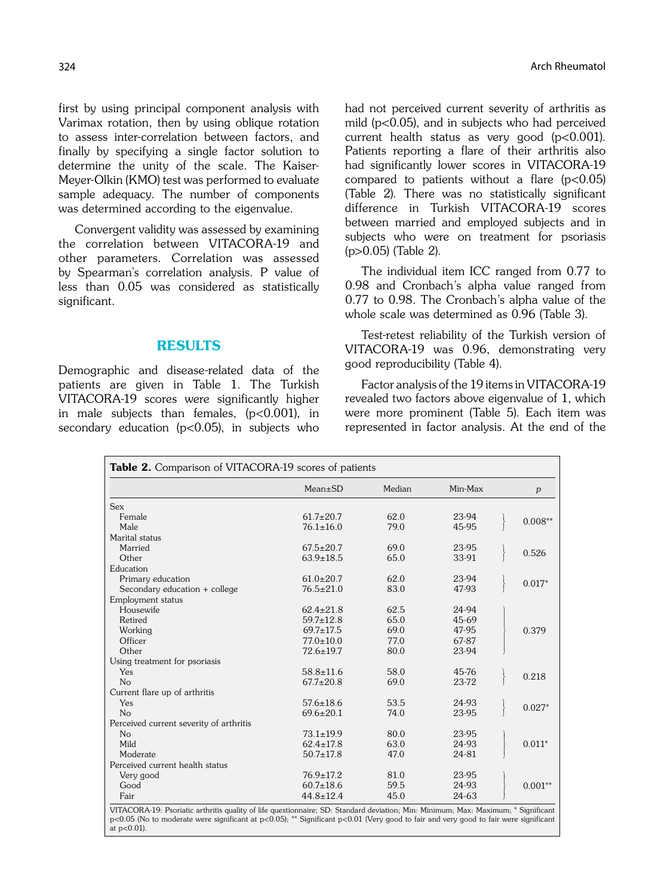first by using principal component analysis with Varimax rotation, then by using oblique rotation to assess inter-correlation between factors, and finally by specifying a single factor solution to determine the unity of the scale. The Kaiser-Meyer-Olkin (KMO) test was performed to evaluate sample adequacy. The number of components was determined according to the eigenvalue.

Convergent validity was assessed by examining the correlation between VITACORA-19 and other parameters. Correlation was assessed by Spearman's correlation analysis. P value of less than 0.05 was considered as statistically significant.

## RESULTS

Demographic and disease-related data of the patients are given in Table 1. The Turkish VITACORA-19 scores were significantly higher in male subjects than females,  $(p<0.001)$ , in secondary education (p<0.05), in subjects who had not perceived current severity of arthritis as mild (p<0.05), and in subjects who had perceived current health status as very good (p<0.001). Patients reporting a flare of their arthritis also had significantly lower scores in VITACORA-19 compared to patients without a flare  $(p<0.05)$ (Table 2). There was no statistically significant difference in Turkish VITACORA-19 scores between married and employed subjects and in subjects who were on treatment for psoriasis (p>0.05) (Table 2).

The individual item ICC ranged from 0.77 to 0.98 and Cronbach's alpha value ranged from 0.77 to 0.98. The Cronbach's alpha value of the whole scale was determined as 0.96 (Table 3).

Test-retest reliability of the Turkish version of VITACORA-19 was 0.96, demonstrating very good reproducibility (Table 4).

Factor analysis of the 19 items in VITACORA-19 revealed two factors above eigenvalue of 1, which were more prominent (Table 5). Each item was represented in factor analysis. At the end of the

|                                         | $Mean \pm SD$   | Median | Min-Max | p         |
|-----------------------------------------|-----------------|--------|---------|-----------|
| <b>Sex</b>                              |                 |        |         |           |
| Female                                  | $61.7 \pm 20.7$ | 62.0   | 23-94   |           |
| Male                                    | $76.1 \pm 16.0$ | 79.0   | 45-95   | $0.008**$ |
| Marital status                          |                 |        |         |           |
| Married                                 | $67.5 \pm 20.7$ | 69.0   | 23-95   |           |
| Other                                   | $63.9 \pm 18.5$ | 65.0   | 33-91   | 0.526     |
| Education                               |                 |        |         |           |
| Primary education                       | $61.0 \pm 20.7$ | 62.0   | 23-94   |           |
| Secondary education + college           | $76.5 \pm 21.0$ | 83.0   | 47-93   | $0.017*$  |
| Employment status                       |                 |        |         |           |
| Housewife                               | $62.4 \pm 21.8$ | 62.5   | 24-94   |           |
| Retired                                 | $59.7 \pm 12.8$ | 65.0   | 45-69   |           |
| Working                                 | $69.7 \pm 17.5$ | 69.0   | 47-95   | 0.379     |
| Officer                                 | $77.0 \pm 10.0$ | 77.0   | 67-87   |           |
| Other                                   | $72.6 \pm 19.7$ | 80.0   | 23-94   |           |
| Using treatment for psoriasis           |                 |        |         |           |
| Yes                                     | $58.8 \pm 11.6$ | 58.0   | 45-76   |           |
| N <sub>o</sub>                          | $67.7 \pm 20.8$ | 69.0   | 23-72   | 0.218     |
| Current flare up of arthritis           |                 |        |         |           |
| Yes                                     | $57.6 \pm 18.6$ | 53.5   | 24-93   |           |
| No                                      | $69.6 \pm 20.1$ | 74.0   | 23-95   | $0.027*$  |
| Perceived current severity of arthritis |                 |        |         |           |
| N <sub>o</sub>                          | $73.1 \pm 19.9$ | 80.0   | 23-95   |           |
| Mild                                    | $62.4 \pm 17.8$ | 63.0   | 24-93   | $0.011*$  |
| Moderate                                | $50.7 \pm 17.8$ | 47.0   | 24-81   |           |
| Perceived current health status         |                 |        |         |           |
| Very good                               | $76.9 \pm 17.2$ | 81.0   | 23-95   |           |
| Good                                    | $60.7 \pm 18.6$ | 59.5   | 24-93   | $0.001**$ |
| Fair                                    | $44.8 \pm 12.4$ | 45.0   | 24-63   |           |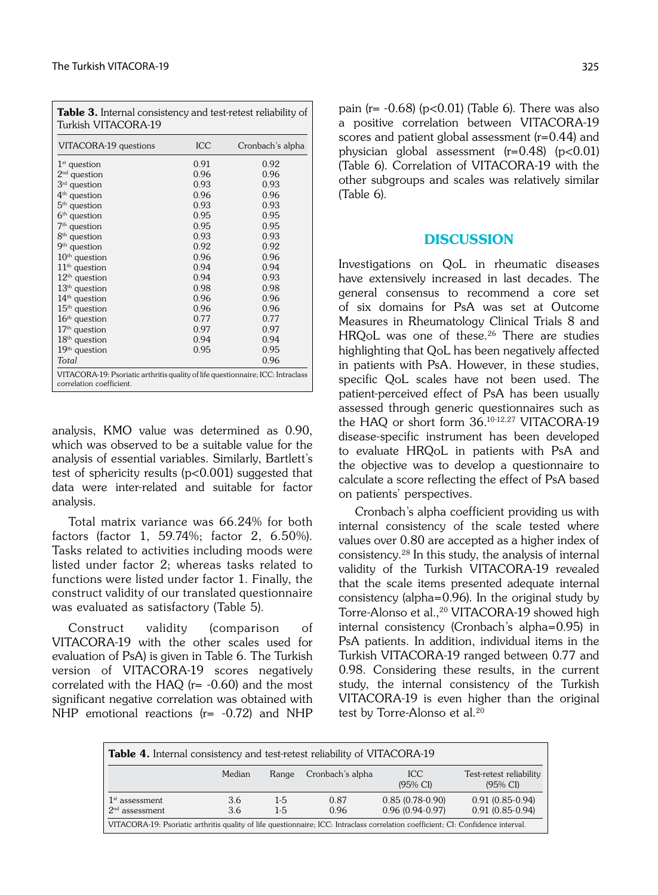| VITACORA-19 questions     | ICC  | Cronbach's alpha |
|---------------------------|------|------------------|
| $1st$ question            | 0.91 | 0.92             |
| $2nd$ question            | 0.96 | 0.96             |
| $3rd$ question            | 0.93 | 0.93             |
| $4th$ question            | 0.96 | 0.96             |
| 5 <sup>th</sup> question  | 0.93 | 0.93             |
| $6th$ question            | 0.95 | 0.95             |
| 7 <sup>th</sup> question  | 0.95 | 0.95             |
| 8 <sup>th</sup> question  | 0.93 | 0.93             |
| $9th$ question            | 0.92 | 0.92             |
| $10th$ question           | 0.96 | 0.96             |
| $11th$ question           | 0.94 | 0.94             |
| $12th$ question           | 0.94 | 0.93             |
| 13 <sup>th</sup> question | 0.98 | 0.98             |
| $14th$ question           | 0.96 | 0.96             |
| $15th$ question           | 0.96 | 0.96             |
| $16th$ question           | 0.77 | 0.77             |
| $17th$ question           | 0.97 | 0.97             |
| $18th$ question           | 0.94 | 0.94             |
| $19th$ question           | 0.95 | 0.95             |
| Total                     |      | 0.96             |

analysis, KMO value was determined as 0.90, which was observed to be a suitable value for the analysis of essential variables. Similarly, Bartlett's test of sphericity results (p<0.001) suggested that data were inter-related and suitable for factor analysis.

Total matrix variance was 66.24% for both factors (factor 1, 59.74%; factor 2, 6.50%). Tasks related to activities including moods were listed under factor 2; whereas tasks related to functions were listed under factor 1. Finally, the construct validity of our translated questionnaire was evaluated as satisfactory (Table 5).

Construct validity (comparison of VITACORA-19 with the other scales used for evaluation of PsA) is given in Table 6. The Turkish version of VITACORA-19 scores negatively correlated with the HAQ  $(r= -0.60)$  and the most significant negative correlation was obtained with NHP emotional reactions (r= -0.72) and NHP pain ( $r = -0.68$ ) ( $p < 0.01$ ) (Table 6). There was also a positive correlation between VITACORA-19 scores and patient global assessment (r=0.44) and physician global assessment  $(r=0.48)$  (p<0.01) (Table 6). Correlation of VITACORA-19 with the other subgroups and scales was relatively similar (Table 6).

## **DISCUSSION**

Investigations on QoL in rheumatic diseases have extensively increased in last decades. The general consensus to recommend a core set of six domains for PsA was set at Outcome Measures in Rheumatology Clinical Trials 8 and HRQoL was one of these.<sup>26</sup> There are studies highlighting that QoL has been negatively affected in patients with PsA. However, in these studies, specific QoL scales have not been used. The patient-perceived effect of PsA has been usually assessed through generic questionnaires such as the HAQ or short form 36.10-12,27 VITACORA-19 disease-specific instrument has been developed to evaluate HRQoL in patients with PsA and the objective was to develop a questionnaire to calculate a score reflecting the effect of PsA based on patients' perspectives.

Cronbach's alpha coefficient providing us with internal consistency of the scale tested where values over 0.80 are accepted as a higher index of consistency.28 In this study, the analysis of internal validity of the Turkish VITACORA-19 revealed that the scale items presented adequate internal consistency (alpha=0.96). In the original study by Torre-Alonso et al.,<sup>20</sup> VITACORA-19 showed high internal consistency (Cronbach's alpha=0.95) in PsA patients. In addition, individual items in the Turkish VITACORA-19 ranged between 0.77 and 0.98. Considering these results, in the current study, the internal consistency of the Turkish VITACORA-19 is even higher than the original test by Torre-Alonso et al.<sup>20</sup>

| <b>Table 4.</b> Internal consistency and test-retest reliability of VITACORA-19                                                   |            |                |                  |                                        |                                                |  |  |  |
|-----------------------------------------------------------------------------------------------------------------------------------|------------|----------------|------------------|----------------------------------------|------------------------------------------------|--|--|--|
|                                                                                                                                   | Median     | Range          | Cronbach's alpha | <b>ICC</b><br>$(95\% \text{ CI})$      | Test-retest reliability<br>$(95\% \text{ CI})$ |  |  |  |
| $1st$ assessment<br>$2nd$ assessment                                                                                              | 3.6<br>3.6 | $1-5$<br>$1-5$ | 0.87<br>0.96     | $0.85(0.78-0.90)$<br>$0.96(0.94-0.97)$ | $0.91(0.85-0.94)$<br>$0.91(0.85-0.94)$         |  |  |  |
| VITACORA-19: Psoriatic arthritis quality of life questionnaire; ICC: Intraclass correlation coefficient; CI: Confidence interval. |            |                |                  |                                        |                                                |  |  |  |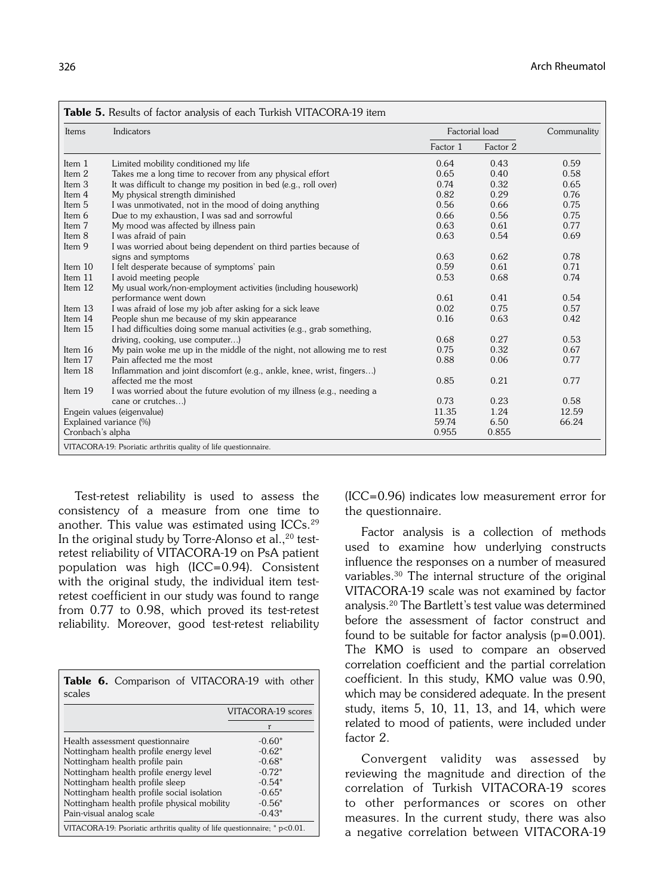| Items            | Indicators                                                              |          | Factorial load |       |
|------------------|-------------------------------------------------------------------------|----------|----------------|-------|
|                  |                                                                         | Factor 1 | Factor 2       |       |
| Item 1           | Limited mobility conditioned my life                                    | 0.64     | 0.43           | 0.59  |
| Item 2           | Takes me a long time to recover from any physical effort                | 0.65     | 0.40           | 0.58  |
| Item 3           | It was difficult to change my position in bed (e.g., roll over)         | 0.74     | 0.32           | 0.65  |
| Item 4           | My physical strength diminished                                         | 0.82     | 0.29           | 0.76  |
| Item 5           | I was unmotivated, not in the mood of doing anything                    | 0.56     | 0.66           | 0.75  |
| Item 6           | Due to my exhaustion, I was sad and sorrowful                           | 0.66     | 0.56           | 0.75  |
| Item 7           | My mood was affected by illness pain                                    | 0.63     | 0.61           | 0.77  |
| Item 8           | I was afraid of pain                                                    | 0.63     | 0.54           | 0.69  |
| Item 9           | I was worried about being dependent on third parties because of         |          |                |       |
|                  | signs and symptoms                                                      | 0.63     | 0.62           | 0.78  |
| Item 10          | I felt desperate because of symptoms' pain                              | 0.59     | 0.61           | 0.71  |
| Item 11          | I avoid meeting people                                                  | 0.53     | 0.68           | 0.74  |
| Item 12          | My usual work/non-employment activities (including housework)           |          |                |       |
|                  | performance went down                                                   | 0.61     | 0.41           | 0.54  |
| Item 13          | I was afraid of lose my job after asking for a sick leave               | 0.02     | 0.75           | 0.57  |
| Item 14          | People shun me because of my skin appearance                            | 0.16     | 0.63           | 0.42  |
| Item 15          | I had difficulties doing some manual activities (e.g., grab something,  |          |                |       |
|                  | driving, cooking, use computer)                                         | 0.68     | 0.27           | 0.53  |
| Item 16          | My pain woke me up in the middle of the night, not allowing me to rest  | 0.75     | 0.32           | 0.67  |
| Item 17          | Pain affected me the most                                               | 0.88     | 0.06           | 0.77  |
| Item 18          | Inflammation and joint discomfort (e.g., ankle, knee, wrist, fingers)   |          |                |       |
|                  | affected me the most                                                    | 0.85     | 0.21           | 0.77  |
| Item 19          | I was worried about the future evolution of my illness (e.g., needing a |          |                |       |
|                  | cane or crutches)                                                       | 0.73     | 0.23           | 0.58  |
|                  | Engein values (eigenvalue)                                              | 11.35    | 1.24           | 12.59 |
|                  | Explained variance (%)                                                  | 59.74    | 6.50           | 66.24 |
| Cronbach's alpha |                                                                         | 0.955    | 0.855          |       |
|                  | VITACORA-19: Psoriatic arthritis quality of life questionnaire.         |          |                |       |

Test-retest reliability is used to assess the consistency of a measure from one time to another. This value was estimated using ICCs.29 In the original study by Torre-Alonso et al.,<sup>20</sup> testretest reliability of VITACORA-19 on PsA patient population was high (ICC=0.94). Consistent with the original study, the individual item testretest coefficient in our study was found to range from 0.77 to 0.98, which proved its test-retest reliability. Moreover, good test-retest reliability

| Table 6. Comparison of VITACORA-19 with other<br>scales                                                                                                                                                                                                                                                           |                                                                                              |
|-------------------------------------------------------------------------------------------------------------------------------------------------------------------------------------------------------------------------------------------------------------------------------------------------------------------|----------------------------------------------------------------------------------------------|
|                                                                                                                                                                                                                                                                                                                   | VITACORA-19 scores                                                                           |
|                                                                                                                                                                                                                                                                                                                   |                                                                                              |
| Health assessment questionnaire<br>Nottingham health profile energy level<br>Nottingham health profile pain<br>Nottingham health profile energy level<br>Nottingham health profile sleep<br>Nottingham health profile social isolation<br>Nottingham health profile physical mobility<br>Pain-visual analog scale | $-0.60*$<br>$-0.62*$<br>$-0.68*$<br>$-0.72*$<br>$-0.54*$<br>$-0.65*$<br>$-0.56*$<br>$-0.43*$ |
| VITACORA-19: Psoriatic arthritis quality of life questionnaire; $*$ $p<0.01$ .                                                                                                                                                                                                                                    |                                                                                              |

(ICC=0.96) indicates low measurement error for the questionnaire.

Factor analysis is a collection of methods used to examine how underlying constructs influence the responses on a number of measured variables.30 The internal structure of the original VITACORA-19 scale was not examined by factor analysis.20 The Bartlett's test value was determined before the assessment of factor construct and found to be suitable for factor analysis  $(p=0.001)$ . The KMO is used to compare an observed correlation coefficient and the partial correlation coefficient. In this study, KMO value was 0.90, which may be considered adequate. In the present study, items 5, 10, 11, 13, and 14, which were related to mood of patients, were included under factor 2.

Convergent validity was assessed by reviewing the magnitude and direction of the correlation of Turkish VITACORA-19 scores to other performances or scores on other measures. In the current study, there was also a negative correlation between VITACORA-19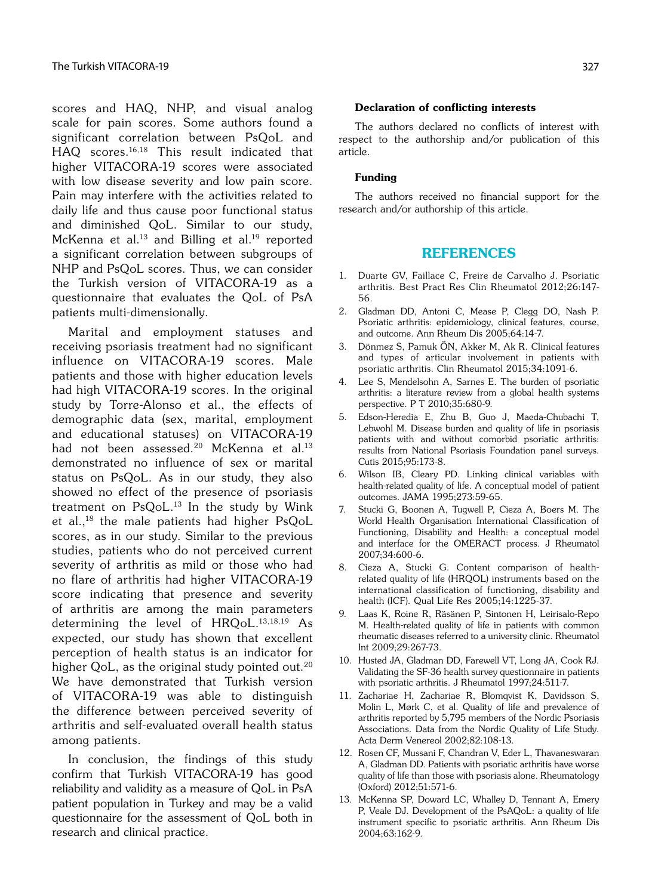scores and HAQ, NHP, and visual analog scale for pain scores. Some authors found a significant correlation between PsQoL and HAQ scores.16,18 This result indicated that higher VITACORA-19 scores were associated with low disease severity and low pain score. Pain may interfere with the activities related to daily life and thus cause poor functional status and diminished QoL. Similar to our study, McKenna et al.<sup>13</sup> and Billing et al.<sup>19</sup> reported a significant correlation between subgroups of NHP and PsQoL scores. Thus, we can consider the Turkish version of VITACORA-19 as a questionnaire that evaluates the QoL of PsA patients multi-dimensionally.

Marital and employment statuses and receiving psoriasis treatment had no significant influence on VITACORA-19 scores. Male patients and those with higher education levels had high VITACORA-19 scores. In the original study by Torre-Alonso et al., the effects of demographic data (sex, marital, employment and educational statuses) on VITACORA-19 had not been assessed.<sup>20</sup> McKenna et al.<sup>13</sup> demonstrated no influence of sex or marital status on PsQoL. As in our study, they also showed no effect of the presence of psoriasis treatment on  $PsQoL$ .<sup>13</sup> In the study by Wink et al.,18 the male patients had higher PsQoL scores, as in our study. Similar to the previous studies, patients who do not perceived current severity of arthritis as mild or those who had no flare of arthritis had higher VITACORA-19 score indicating that presence and severity of arthritis are among the main parameters determining the level of  $HRQoL$ .<sup>13,18,19</sup> As expected, our study has shown that excellent perception of health status is an indicator for higher QoL, as the original study pointed out.<sup>20</sup> We have demonstrated that Turkish version of VITACORA-19 was able to distinguish the difference between perceived severity of arthritis and self-evaluated overall health status among patients.

In conclusion, the findings of this study confirm that Turkish VITACORA-19 has good reliability and validity as a measure of QoL in PsA patient population in Turkey and may be a valid questionnaire for the assessment of QoL both in research and clinical practice.

#### Declaration of conflicting interests

The authors declared no conflicts of interest with respect to the authorship and/or publication of this article.

#### Funding

The authors received no financial support for the research and/or authorship of this article.

## REFERENCES

- 1. Duarte GV, Faillace C, Freire de Carvalho J. Psoriatic arthritis. Best Pract Res Clin Rheumatol 2012;26:147- 56.
- 2. Gladman DD, Antoni C, Mease P, Clegg DO, Nash P. Psoriatic arthritis: epidemiology, clinical features, course, and outcome. Ann Rheum Dis 2005;64:14-7.
- 3. Dönmez S, Pamuk ÖN, Akker M, Ak R. Clinical features and types of articular involvement in patients with psoriatic arthritis. Clin Rheumatol 2015;34:1091-6.
- Lee S, Mendelsohn A, Sarnes E. The burden of psoriatic arthritis: a literature review from a global health systems perspective. P T 2010;35:680-9.
- 5. Edson-Heredia E, Zhu B, Guo J, Maeda-Chubachi T, Lebwohl M. Disease burden and quality of life in psoriasis patients with and without comorbid psoriatic arthritis: results from National Psoriasis Foundation panel surveys. Cutis 2015;95:173-8.
- 6. Wilson IB, Cleary PD. Linking clinical variables with health-related quality of life. A conceptual model of patient outcomes. JAMA 1995;273:59-65.
- 7. Stucki G, Boonen A, Tugwell P, Cieza A, Boers M. The World Health Organisation International Classification of Functioning, Disability and Health: a conceptual model and interface for the OMERACT process. J Rheumatol 2007;34:600-6.
- 8. Cieza A, Stucki G. Content comparison of healthrelated quality of life (HRQOL) instruments based on the international classification of functioning, disability and health (ICF). Qual Life Res 2005;14:1225-37.
- 9. Laas K, Roine R, Räsänen P, Sintonen H, Leirisalo-Repo M. Health-related quality of life in patients with common rheumatic diseases referred to a university clinic. Rheumatol Int 2009;29:267-73.
- 10. Husted JA, Gladman DD, Farewell VT, Long JA, Cook RJ. Validating the SF-36 health survey questionnaire in patients with psoriatic arthritis. J Rheumatol 1997;24:511-7.
- 11. Zachariae H, Zachariae R, Blomqvist K, Davidsson S, Molin L, Mørk C, et al. Quality of life and prevalence of arthritis reported by 5,795 members of the Nordic Psoriasis Associations. Data from the Nordic Quality of Life Study. Acta Derm Venereol 2002;82:108-13.
- 12. Rosen CF, Mussani F, Chandran V, Eder L, Thavaneswaran A, Gladman DD. Patients with psoriatic arthritis have worse quality of life than those with psoriasis alone. Rheumatology (Oxford) 2012;51:571-6.
- 13. McKenna SP, Doward LC, Whalley D, Tennant A, Emery P, Veale DJ. Development of the PsAQoL: a quality of life instrument specific to psoriatic arthritis. Ann Rheum Dis 2004;63:162-9.